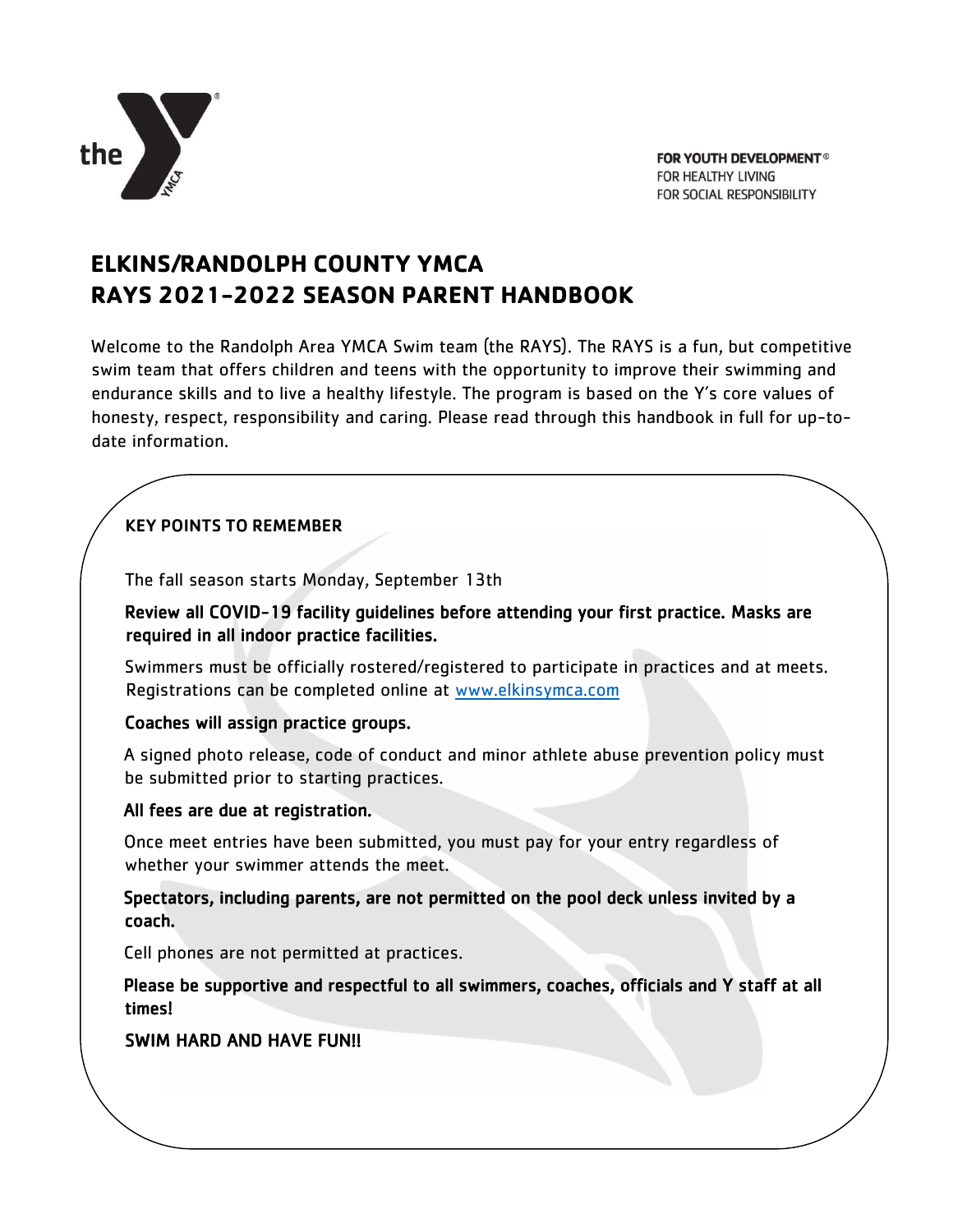

## **ELKINS/RANDOLPH COUNTY YMCA RAYS 2021-2022 SEASON PARENT HANDBOOK**

Welcome to the Randolph Area YMCA Swim team (the RAYS). The RAYS is a fun, but competitive swim team that offers children and teens with the opportunity to improve their swimming and endurance skills and to live a healthy lifestyle. The program is based on the Y's core values of honesty, respect, responsibility and caring. Please read through this handbook in full for up-todate information.

## KEY POINTS TO REMEMBER

The fall season starts Monday, September 13th

Review all COVID-19 facility guidelines before attending your first practice. Masks are required in all indoor practice facilities.

Swimmers must be officially rostered/registered to participate in practices and at meets. Registrations can be completed online at [www.elkinsymca.com](http://www.elkinsymca.com/)

## Coaches will assign practice groups.

A signed photo release, code of conduct and minor athlete abuse prevention policy must be submitted prior to starting practices.

## All fees are due at registration.

Once meet entries have been submitted, you must pay for your entry regardless of whether your swimmer attends the meet.

Spectators, including parents, are not permitted on the pool deck unless invited by a coach.

Cell phones are not permitted at practices.

Please be supportive and respectful to all swimmers, coaches, officials and Y staff at all times!

## SWIM HARD AND HAVE FUN!!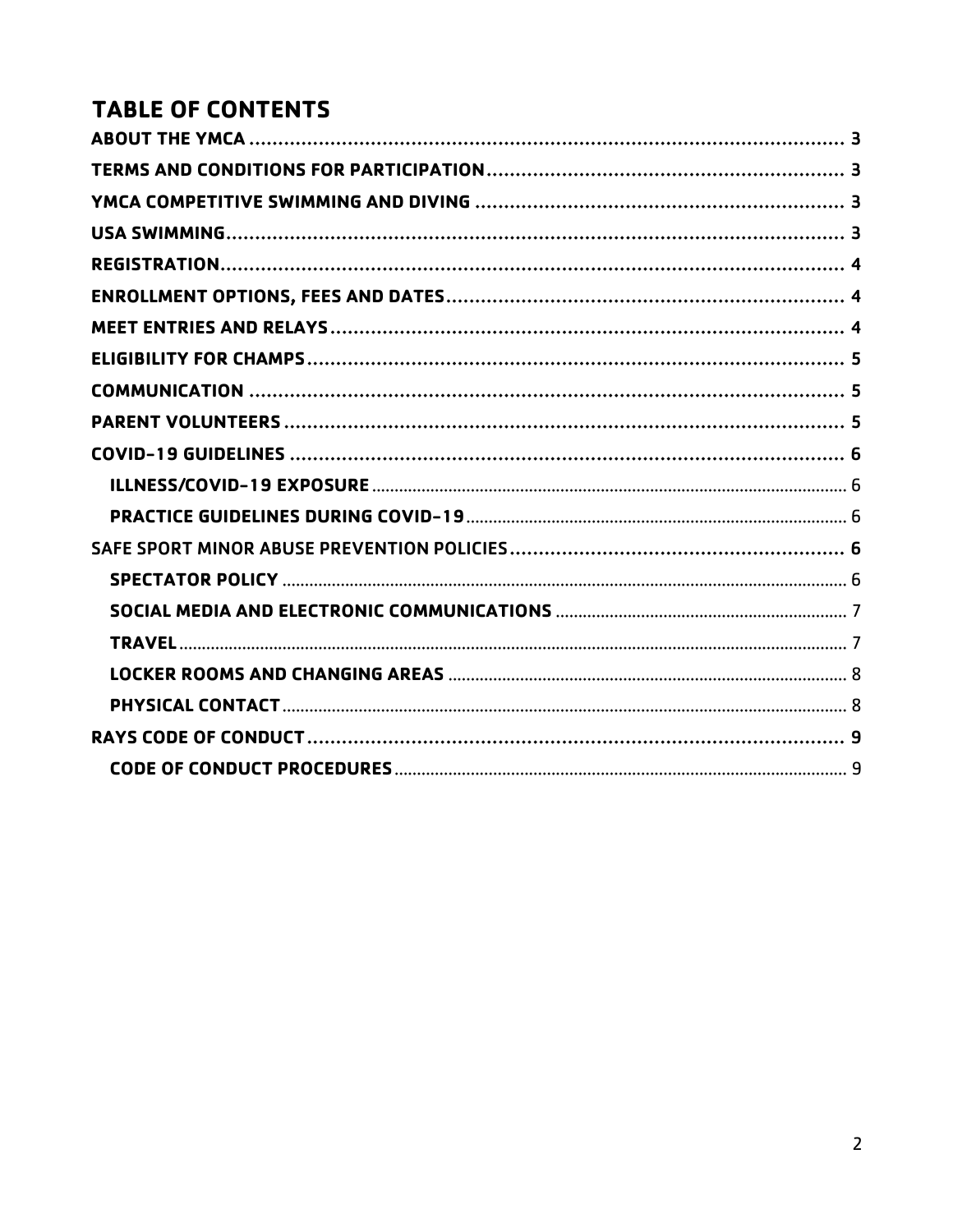# **TABLE OF CONTENTS**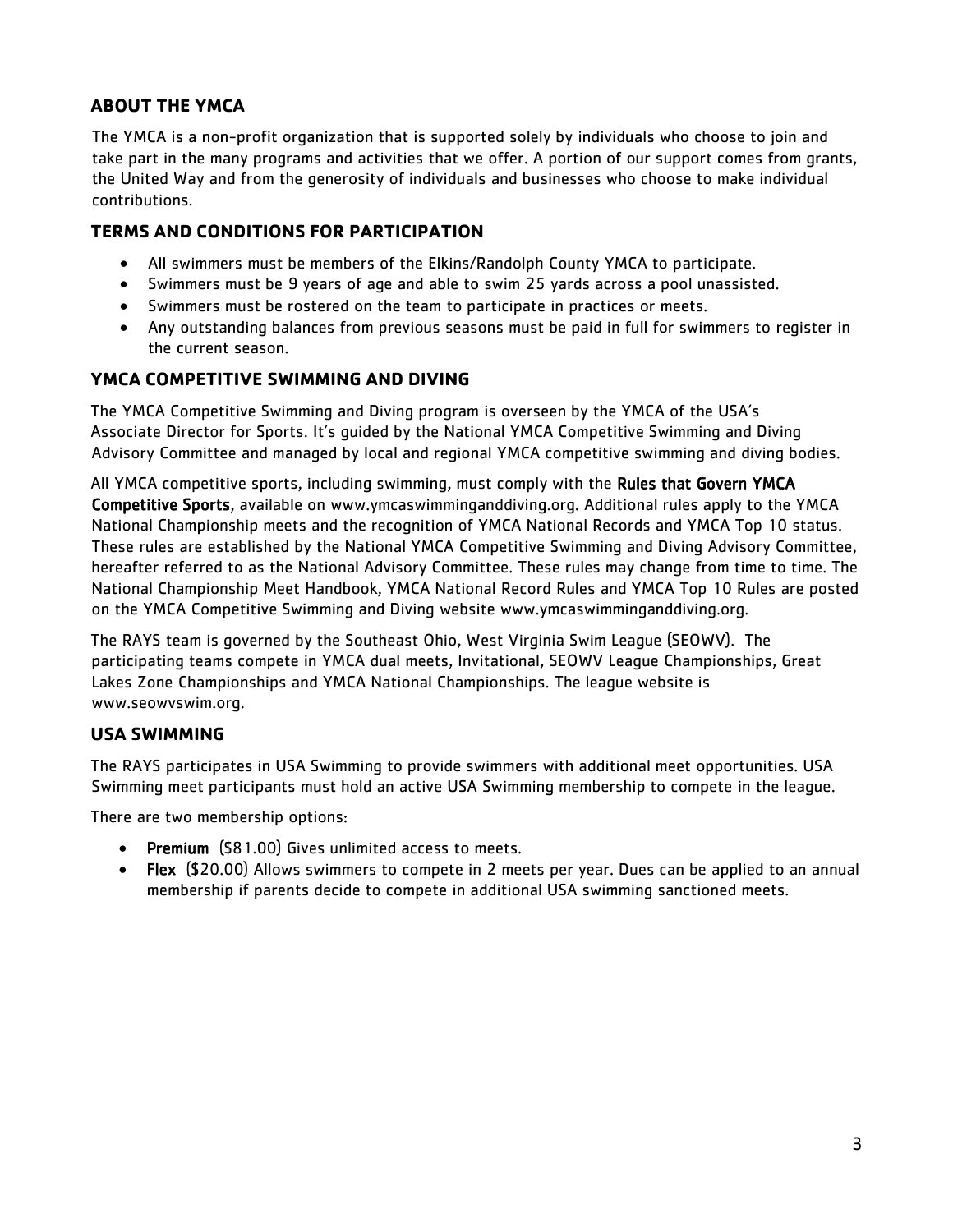## <span id="page-2-0"></span>**ABOUT THE YMCA**

The YMCA is a non-profit organization that is supported solely by individuals who choose to join and take part in the many programs and activities that we offer. A portion of our support comes from grants, the United Way and from the generosity of individuals and businesses who choose to make individual contributions.

## <span id="page-2-1"></span>**TERMS AND CONDITIONS FOR PARTICIPATION**

- All swimmers must be members of the Elkins/Randolph County YMCA to participate.
- Swimmers must be 9 years of age and able to swim 25 yards across a pool unassisted.
- Swimmers must be rostered on the team to participate in practices or meets.
- Any outstanding balances from previous seasons must be paid in full for swimmers to register in the current season.

## <span id="page-2-2"></span>**YMCA COMPETITIVE SWIMMING AND DIVING**

The YMCA Competitive Swimming and Diving program is overseen by the YMCA of the USA's Associate Director for Sports. It's guided by the National YMCA Competitive Swimming and Diving Advisory Committee and managed by local and regional YMCA competitive swimming and diving bodies.

All YMCA competitive sports, including swimming, must comply with the Rules that Govern YMCA Competitive Sports, available on www.ymcaswimminganddiving.org. Additional rules apply to the YMCA National Championship meets and the recognition of YMCA National Records and YMCA Top 10 status. These rules are established by the National YMCA Competitive Swimming and Diving Advisory Committee, hereafter referred to as the National Advisory Committee. These rules may change from time to time. The National Championship Meet Handbook, YMCA National Record Rules and YMCA Top 10 Rules are posted on the YMCA Competitive Swimming and Diving website www.ymcaswimminganddiving.org.

The RAYS team is governed by the Southeast Ohio, West Virginia Swim League (SEOWV). The participating teams compete in YMCA dual meets, Invitational, SEOWV League Championships, Great Lakes Zone Championships and YMCA National Championships. The league website is [www.seowvswim.org.](http://www.seowvswim.org/)

## <span id="page-2-3"></span>**USA SWIMMING**

The RAYS participates in USA Swimming to provide swimmers with additional meet opportunities. USA Swimming meet participants must hold an active USA Swimming membership to compete in the league.

There are two membership options:

- Premium (\$81.00) Gives unlimited access to meets.
- Flex (\$20.00) Allows swimmers to compete in 2 meets per year. Dues can be applied to an annual membership if parents decide to compete in additional USA swimming sanctioned meets.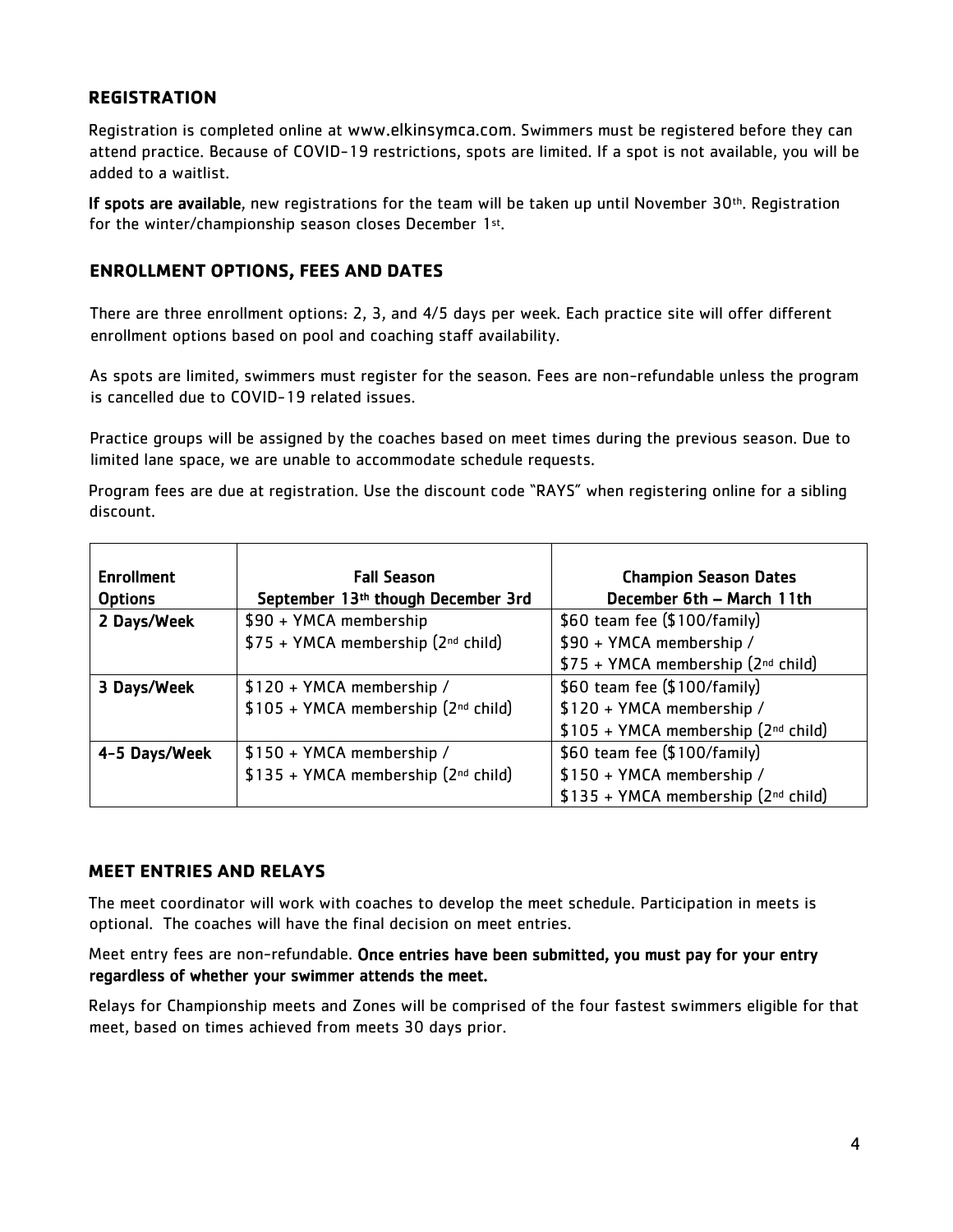#### <span id="page-3-0"></span>**REGISTRATION**

Registration is completed online at www.elkinsymca.com. Swimmers must be registered before they can attend practice. Because of COVID-19 restrictions, spots are limited. If a spot is not available, you will be added to a waitlist.

If spots are available, new registrations for the team will be taken up until November 30<sup>th</sup>. Registration for the winter/championship season closes December 1st.

#### <span id="page-3-1"></span>**ENROLLMENT OPTIONS, FEES AND DATES**

There are three enrollment options: 2, 3, and 4/5 days per week. Each practice site will offer different enrollment options based on pool and coaching staff availability.

As spots are limited, swimmers must register for the season. Fees are non-refundable unless the program is cancelled due to COVID-19 related issues.

Practice groups will be assigned by the coaches based on meet times during the previous season. Due to limited lane space, we are unable to accommodate schedule requests.

Program fees are due at registration. Use the discount code "RAYS" when registering online for a sibling discount.

| <b>Enrollment</b> | <b>Fall Season</b>                      | <b>Champion Season Dates</b>        |
|-------------------|-----------------------------------------|-------------------------------------|
| <b>Options</b>    | September 13th though December 3rd      | December 6th - March 11th           |
| 2 Days/Week       | \$90 + YMCA membership                  | \$60 team fee (\$100/family)        |
|                   | \$75 + YMCA membership (2nd child)      | \$90 + YMCA membership /            |
|                   |                                         | \$75 + YMCA membership (2nd child)  |
| 3 Days/Week       | \$120 + YMCA membership /               | \$60 team fee (\$100/family)        |
|                   | \$105 + YMCA membership (2nd child)     | \$120 + YMCA membership /           |
|                   |                                         | \$105 + YMCA membership (2nd child) |
| 4-5 Days/Week     | \$150 + YMCA membership /               | \$60 team fee (\$100/family)        |
|                   | $$135 + YMCA$ membership ( $2nd$ child) | \$150 + YMCA membership /           |
|                   |                                         | \$135 + YMCA membership (2nd child) |

#### <span id="page-3-2"></span>**MEET ENTRIES AND RELAYS**

The meet coordinator will work with coaches to develop the meet schedule. Participation in meets is optional. The coaches will have the final decision on meet entries.

#### Meet entry fees are non-refundable. Once entries have been submitted, you must pay for your entry regardless of whether your swimmer attends the meet.

Relays for Championship meets and Zones will be comprised of the four fastest swimmers eligible for that meet, based on times achieved from meets 30 days prior.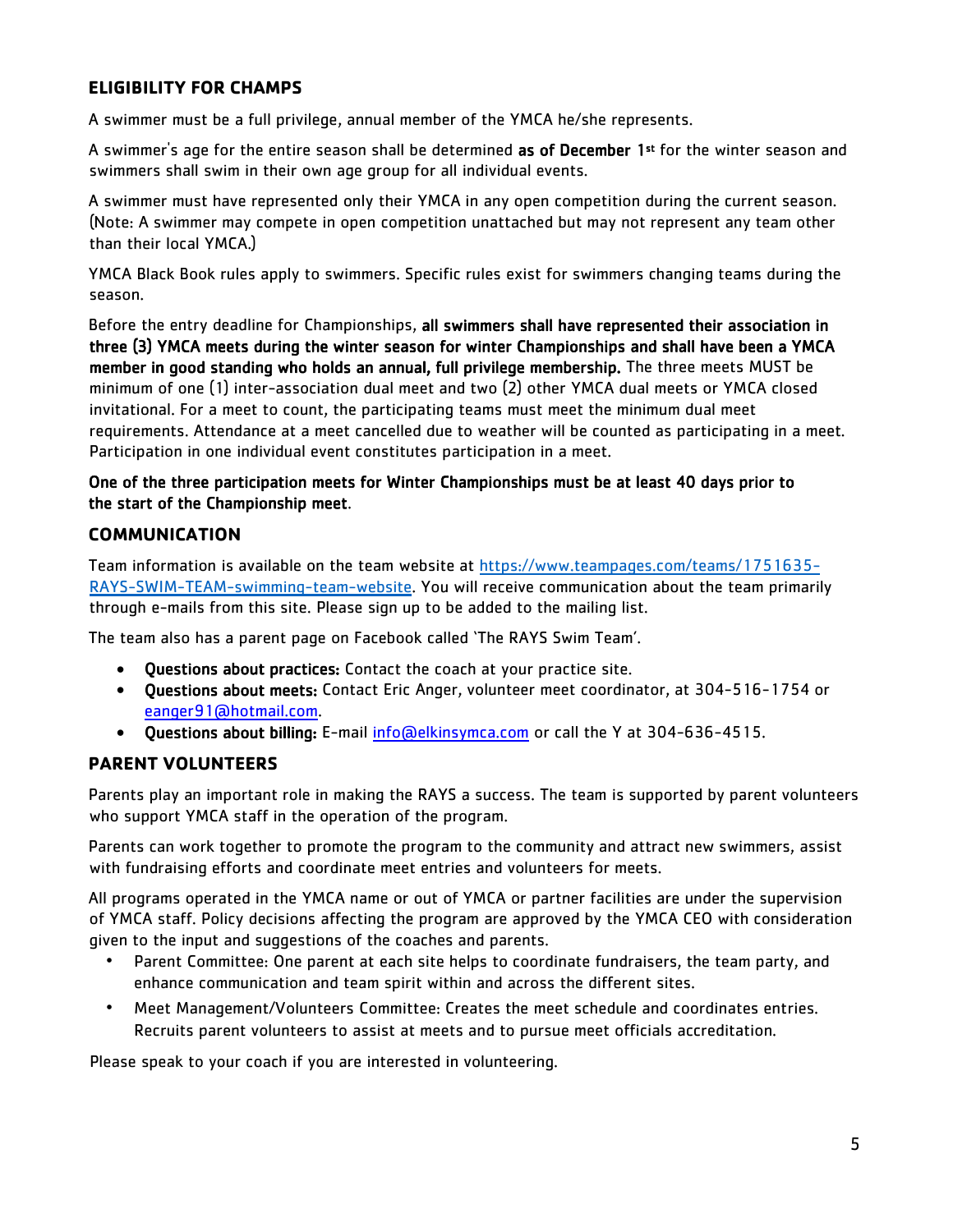## <span id="page-4-0"></span>**ELIGIBILITY FOR CHAMPS**

A swimmer must be a full privilege, annual member of the YMCA he/she represents.

A swimmer's age for the entire season shall be determined as of December 1<sup>st</sup> for the winter season and swimmers shall swim in their own age group for all individual events.

A swimmer must have represented only their YMCA in any open competition during the current season. (Note: A swimmer may compete in open competition unattached but may not represent any team other than their local YMCA.)

YMCA Black Book rules apply to swimmers. Specific rules exist for swimmers changing teams during the season.

Before the entry deadline for Championships, all swimmers shall have represented their association in three (3) YMCA meets during the winter season for winter Championships and shall have been a YMCA member in good standing who holds an annual, full privilege membership. The three meets MUST be minimum of one (1) inter-association dual meet and two (2) other YMCA dual meets or YMCA closed invitational. For a meet to count, the participating teams must meet the minimum dual meet requirements. Attendance at a meet cancelled due to weather will be counted as participating in a meet. Participation in one individual event constitutes participation in a meet.

#### One of the three participation meets for Winter Championships must be at least 40 days prior to the start of the Championship meet.

#### <span id="page-4-1"></span>**COMMUNICATION**

Team information is available on the team website at [https://www.teampages.com/teams/1751635-](https://www.teampages.com/teams/1751635-RAYS-SWIM-TEAM-swimming-team-website) [RAYS-SWIM-TEAM-swimming-team-website.](https://www.teampages.com/teams/1751635-RAYS-SWIM-TEAM-swimming-team-website) You will receive communication about the team primarily through e-mails from this site. Please sign up to be added to the mailing list.

The team also has a parent page on Facebook called 'The RAYS Swim Team'.

- Questions about practices: Contact the coach at your practice site.
- Questions about meets: Contact Eric Anger, volunteer meet coordinator, at 304-516-1754 or eanger91@hotmail.com.
- Questions about billing: E-mail info@elkinsymca.com or call the Y at 304-636-4515.

#### <span id="page-4-2"></span>**PARENT VOLUNTEERS**

Parents play an important role in making the RAYS a success. The team is supported by parent volunteers who support YMCA staff in the operation of the program.

Parents can work together to promote the program to the community and attract new swimmers, assist with fundraising efforts and coordinate meet entries and volunteers for meets.

All programs operated in the YMCA name or out of YMCA or partner facilities are under the supervision of YMCA staff. Policy decisions affecting the program are approved by the YMCA CEO with consideration given to the input and suggestions of the coaches and parents.

- Parent Committee: One parent at each site helps to coordinate fundraisers, the team party, and enhance communication and team spirit within and across the different sites.
- Meet Management/Volunteers Committee: Creates the meet schedule and coordinates entries. Recruits parent volunteers to assist at meets and to pursue meet officials accreditation.

Please speak to your coach if you are interested in volunteering.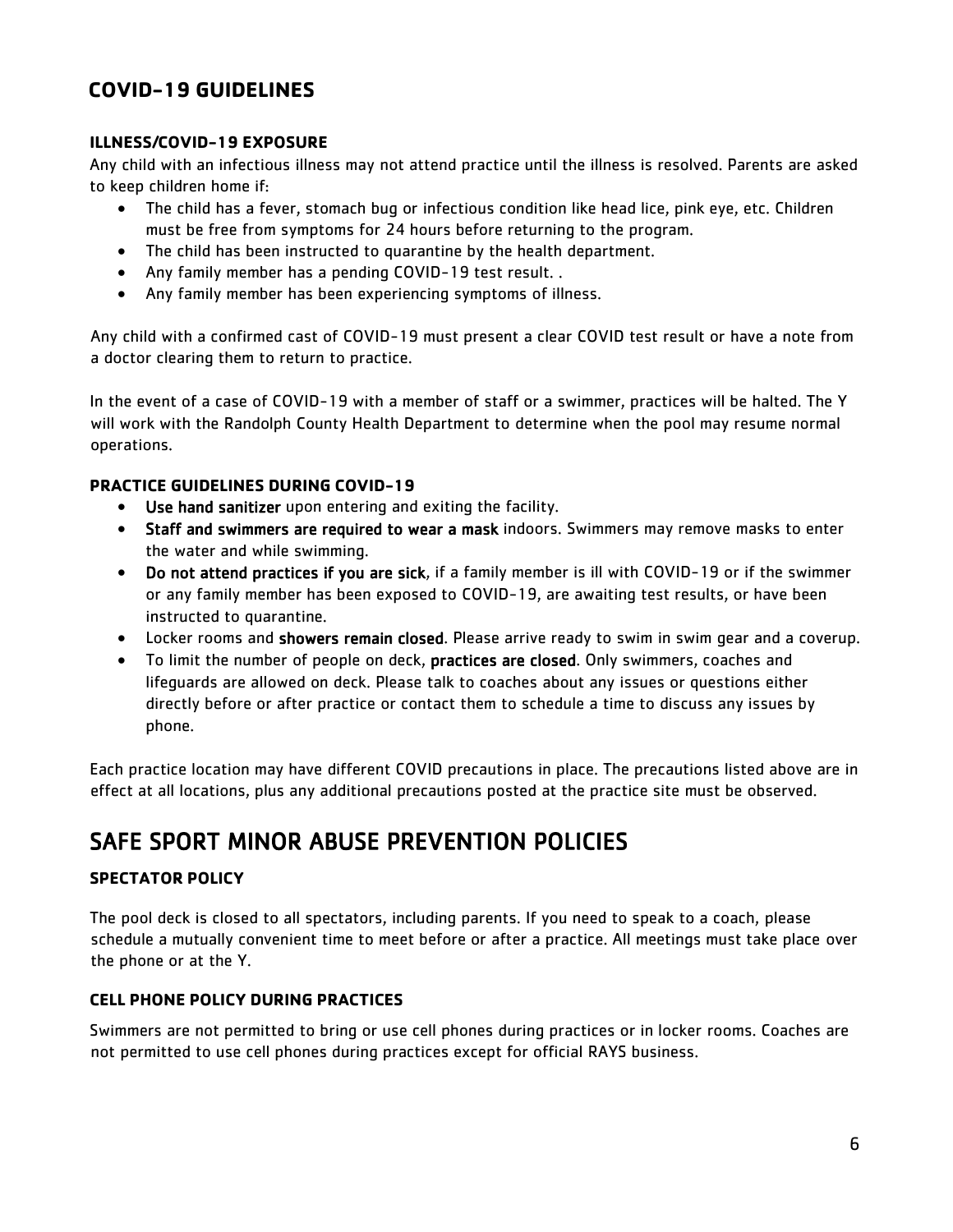## <span id="page-5-0"></span>**COVID-19 GUIDELINES**

#### <span id="page-5-1"></span>**ILLNESS/COVID-19 EXPOSURE**

Any child with an infectious illness may not attend practice until the illness is resolved. Parents are asked to keep children home if:

- The child has a fever, stomach bug or infectious condition like head lice, pink eye, etc. Children must be free from symptoms for 24 hours before returning to the program.
- The child has been instructed to quarantine by the health department.
- Any family member has a pending COVID-19 test result. .
- Any family member has been experiencing symptoms of illness.

Any child with a confirmed cast of COVID-19 must present a clear COVID test result or have a note from a doctor clearing them to return to practice.

In the event of a case of COVID-19 with a member of staff or a swimmer, practices will be halted. The Y will work with the Randolph County Health Department to determine when the pool may resume normal operations.

#### <span id="page-5-2"></span>**PRACTICE GUIDELINES DURING COVID-19**

- Use hand sanitizer upon entering and exiting the facility.
- Staff and swimmers are required to wear a mask indoors. Swimmers may remove masks to enter the water and while swimming.
- Do not attend practices if you are sick, if a family member is ill with COVID-19 or if the swimmer or any family member has been exposed to COVID-19, are awaiting test results, or have been instructed to quarantine.
- Locker rooms and showers remain closed. Please arrive ready to swim in swim gear and a coverup.
- To limit the number of people on deck, practices are closed. Only swimmers, coaches and lifeguards are allowed on deck. Please talk to coaches about any issues or questions either directly before or after practice or contact them to schedule a time to discuss any issues by phone.

Each practice location may have different COVID precautions in place. The precautions listed above are in effect at all locations, plus any additional precautions posted at the practice site must be observed.

## <span id="page-5-3"></span>SAFE SPORT MINOR ABUSE PREVENTION POLICIES

#### <span id="page-5-4"></span>**SPECTATOR POLICY**

The pool deck is closed to all spectators, including parents. If you need to speak to a coach, please schedule a mutually convenient time to meet before or after a practice. All meetings must take place over the phone or at the Y.

#### **CELL PHONE POLICY DURING PRACTICES**

Swimmers are not permitted to bring or use cell phones during practices or in locker rooms. Coaches are not permitted to use cell phones during practices except for official RAYS business.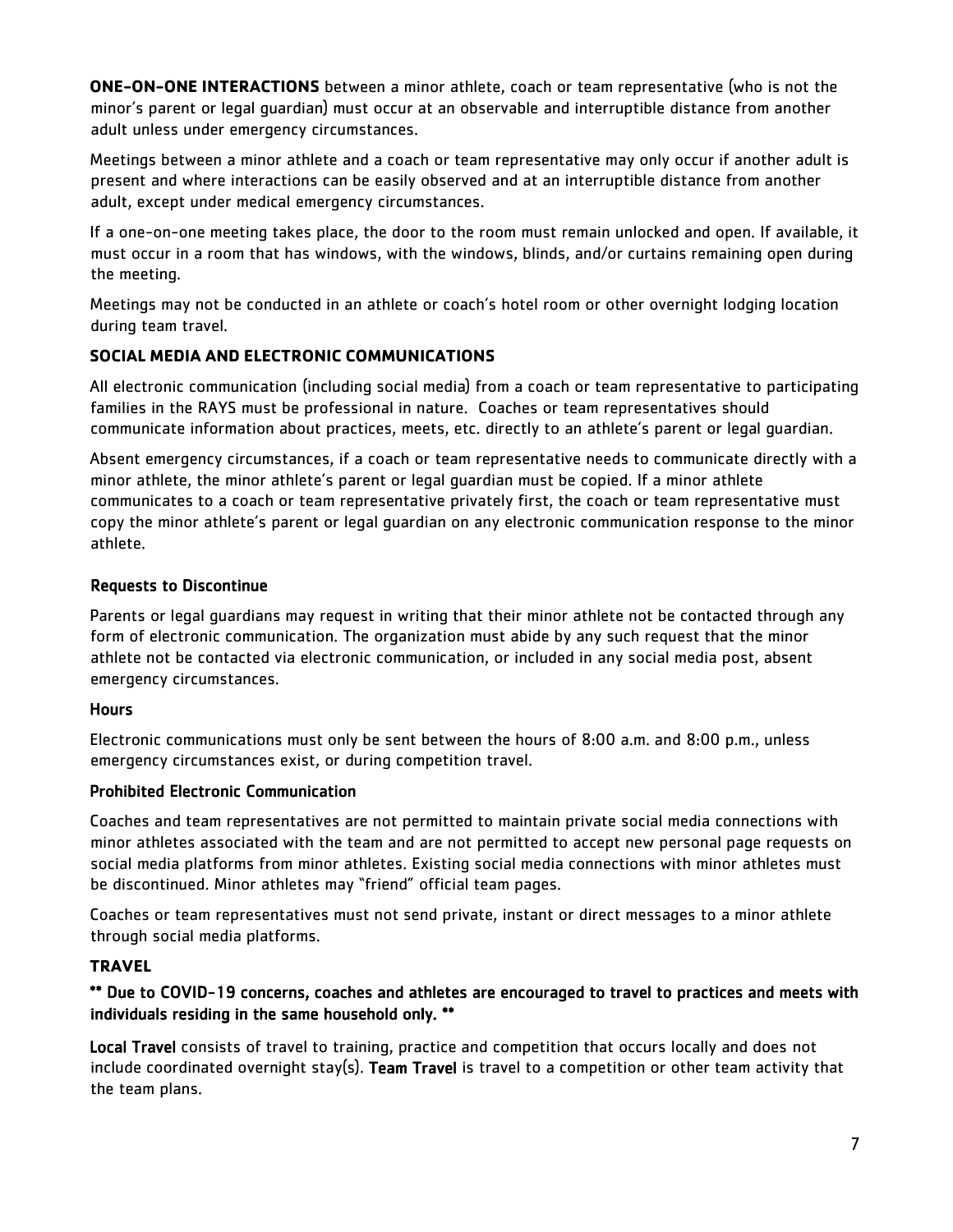**ONE-ON-ONE INTERACTIONS** between a minor athlete, coach or team representative (who is not the minor's parent or legal guardian) must occur at an observable and interruptible distance from another adult unless under emergency circumstances.

Meetings between a minor athlete and a coach or team representative may only occur if another adult is present and where interactions can be easily observed and at an interruptible distance from another adult, except under medical emergency circumstances.

If a one-on-one meeting takes place, the door to the room must remain unlocked and open. If available, it must occur in a room that has windows, with the windows, blinds, and/or curtains remaining open during the meeting.

Meetings may not be conducted in an athlete or coach's hotel room or other overnight lodging location during team travel.

## <span id="page-6-0"></span>**SOCIAL MEDIA AND ELECTRONIC COMMUNICATIONS**

All electronic communication (including social media) from a coach or team representative to participating families in the RAYS must be professional in nature. Coaches or team representatives should communicate information about practices, meets, etc. directly to an athlete's parent or legal guardian.

Absent emergency circumstances, if a coach or team representative needs to communicate directly with a minor athlete, the minor athlete's parent or legal guardian must be copied. If a minor athlete communicates to a coach or team representative privately first, the coach or team representative must copy the minor athlete's parent or legal guardian on any electronic communication response to the minor athlete.

#### Requests to Discontinue

Parents or legal guardians may request in writing that their minor athlete not be contacted through any form of electronic communication. The organization must abide by any such request that the minor athlete not be contacted via electronic communication, or included in any social media post, absent emergency circumstances.

#### Hours

Electronic communications must only be sent between the hours of 8:00 a.m. and 8:00 p.m., unless emergency circumstances exist, or during competition travel.

#### Prohibited Electronic Communication

Coaches and team representatives are not permitted to maintain private social media connections with minor athletes associated with the team and are not permitted to accept new personal page requests on social media platforms from minor athletes. Existing social media connections with minor athletes must be discontinued. Minor athletes may "friend" official team pages.

Coaches or team representatives must not send private, instant or direct messages to a minor athlete through social media platforms.

#### <span id="page-6-1"></span>**TRAVEL**

#### \*\* Due to COVID-19 concerns, coaches and athletes are encouraged to travel to practices and meets with individuals residing in the same household only. \*\*

Local Travel consists of travel to training, practice and competition that occurs locally and does not include coordinated overnight stay(s). Team Travel is travel to a competition or other team activity that the team plans.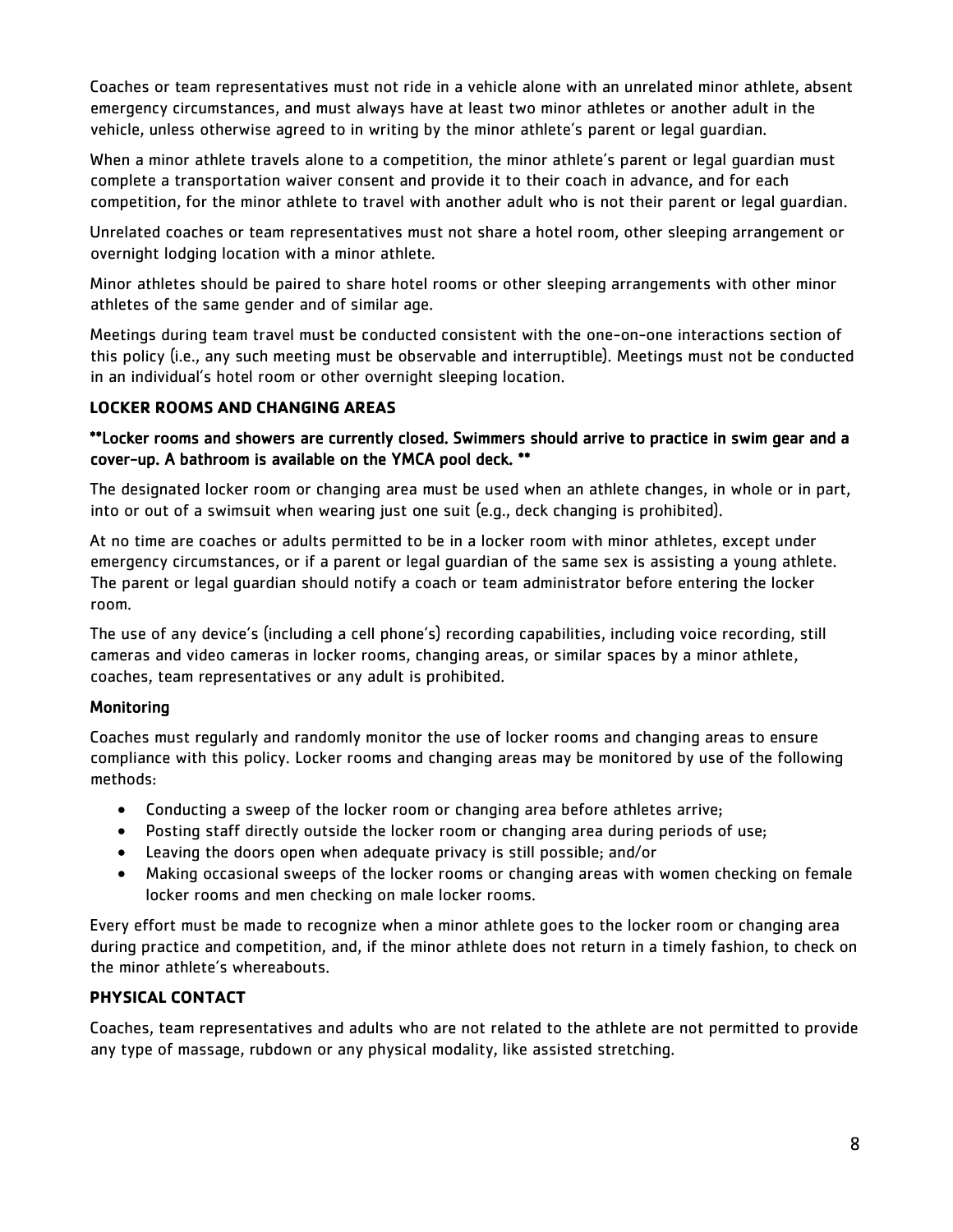Coaches or team representatives must not ride in a vehicle alone with an unrelated minor athlete, absent emergency circumstances, and must always have at least two minor athletes or another adult in the vehicle, unless otherwise agreed to in writing by the minor athlete's parent or legal guardian.

When a minor athlete travels alone to a competition, the minor athlete's parent or legal guardian must complete a transportation waiver consent and provide it to their coach in advance, and for each competition, for the minor athlete to travel with another adult who is not their parent or legal guardian.

Unrelated coaches or team representatives must not share a hotel room, other sleeping arrangement or overnight lodging location with a minor athlete.

Minor athletes should be paired to share hotel rooms or other sleeping arrangements with other minor athletes of the same gender and of similar age.

Meetings during team travel must be conducted consistent with the one-on-one interactions section of this policy (i.e., any such meeting must be observable and interruptible). Meetings must not be conducted in an individual's hotel room or other overnight sleeping location.

#### <span id="page-7-0"></span>**LOCKER ROOMS AND CHANGING AREAS**

#### \*\*Locker rooms and showers are currently closed. Swimmers should arrive to practice in swim gear and a cover-up. A bathroom is available on the YMCA pool deck. \*\*

The designated locker room or changing area must be used when an athlete changes, in whole or in part, into or out of a swimsuit when wearing just one suit (e.g., deck changing is prohibited).

At no time are coaches or adults permitted to be in a locker room with minor athletes, except under emergency circumstances, or if a parent or legal guardian of the same sex is assisting a young athlete. The parent or legal guardian should notify a coach or team administrator before entering the locker room.

The use of any device's (including a cell phone's) recording capabilities, including voice recording, still cameras and video cameras in locker rooms, changing areas, or similar spaces by a minor athlete, coaches, team representatives or any adult is prohibited.

#### **Monitoring**

Coaches must regularly and randomly monitor the use of locker rooms and changing areas to ensure compliance with this policy. Locker rooms and changing areas may be monitored by use of the following methods:

- Conducting a sweep of the locker room or changing area before athletes arrive;
- Posting staff directly outside the locker room or changing area during periods of use;
- Leaving the doors open when adequate privacy is still possible; and/or
- Making occasional sweeps of the locker rooms or changing areas with women checking on female locker rooms and men checking on male locker rooms.

Every effort must be made to recognize when a minor athlete goes to the locker room or changing area during practice and competition, and, if the minor athlete does not return in a timely fashion, to check on the minor athlete's whereabouts.

## <span id="page-7-1"></span>**PHYSICAL CONTACT**

Coaches, team representatives and adults who are not related to the athlete are not permitted to provide any type of massage, rubdown or any physical modality, like assisted stretching.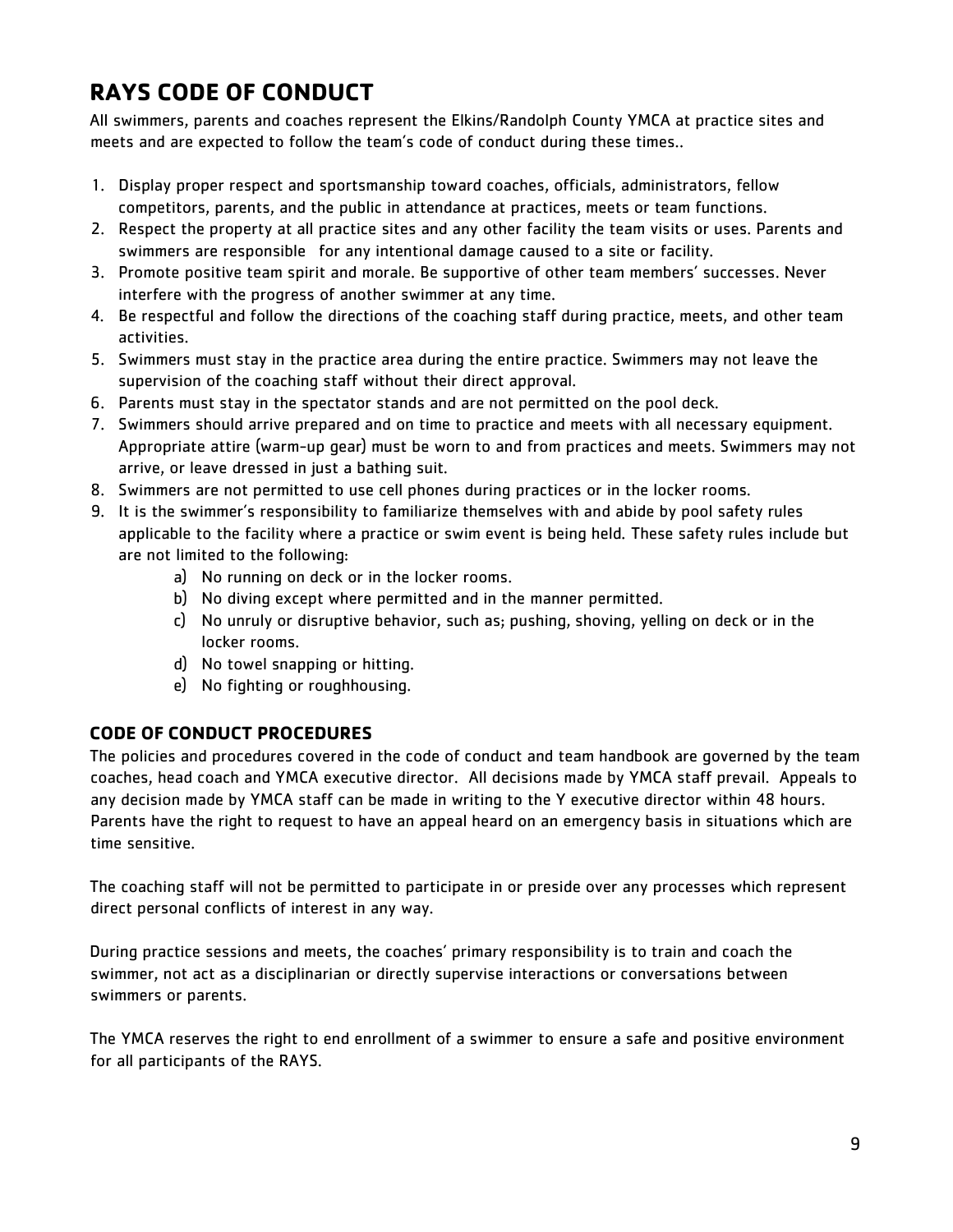## <span id="page-8-0"></span>**RAYS CODE OF CONDUCT**

All swimmers, parents and coaches represent the Elkins/Randolph County YMCA at practice sites and meets and are expected to follow the team's code of conduct during these times..

- 1. Display proper respect and sportsmanship toward coaches, officials, administrators, fellow competitors, parents, and the public in attendance at practices, meets or team functions.
- 2. Respect the property at all practice sites and any other facility the team visits or uses. Parents and swimmers are responsible for any intentional damage caused to a site or facility.
- 3. Promote positive team spirit and morale. Be supportive of other team members' successes. Never interfere with the progress of another swimmer at any time.
- 4. Be respectful and follow the directions of the coaching staff during practice, meets, and other team activities.
- 5. Swimmers must stay in the practice area during the entire practice. Swimmers may not leave the supervision of the coaching staff without their direct approval.
- 6. Parents must stay in the spectator stands and are not permitted on the pool deck.
- 7. Swimmers should arrive prepared and on time to practice and meets with all necessary equipment. Appropriate attire (warm-up gear) must be worn to and from practices and meets. Swimmers may not arrive, or leave dressed in just a bathing suit.
- 8. Swimmers are not permitted to use cell phones during practices or in the locker rooms.
- 9. It is the swimmer's responsibility to familiarize themselves with and abide by pool safety rules applicable to the facility where a practice or swim event is being held. These safety rules include but are not limited to the following:
	- a) No running on deck or in the locker rooms.
	- b) No diving except where permitted and in the manner permitted.
	- c) No unruly or disruptive behavior, such as; pushing, shoving, yelling on deck or in the locker rooms.
	- d) No towel snapping or hitting.
	- e) No fighting or roughhousing.

## <span id="page-8-1"></span>**CODE OF CONDUCT PROCEDURES**

The policies and procedures covered in the code of conduct and team handbook are governed by the team coaches, head coach and YMCA executive director. All decisions made by YMCA staff prevail. Appeals to any decision made by YMCA staff can be made in writing to the Y executive director within 48 hours. Parents have the right to request to have an appeal heard on an emergency basis in situations which are time sensitive.

The coaching staff will not be permitted to participate in or preside over any processes which represent direct personal conflicts of interest in any way.

During practice sessions and meets, the coaches' primary responsibility is to train and coach the swimmer, not act as a disciplinarian or directly supervise interactions or conversations between swimmers or parents.

The YMCA reserves the right to end enrollment of a swimmer to ensure a safe and positive environment for all participants of the RAYS.